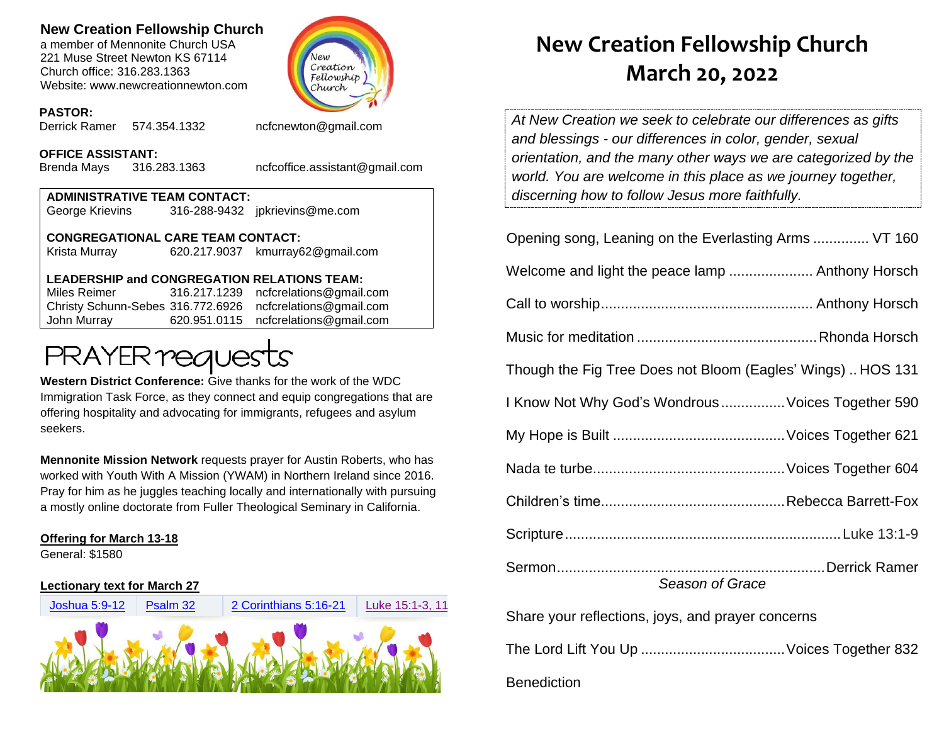## **New Creation Fellowship Church**

a member of Mennonite Church USA 221 Muse Street Newton KS 67114 Church office: 316.283.1363 Website: www.newcreationnewton.com



#### **PASTOR:**

Derrick Ramer 574.354.1332 [ncfcnewton@gmail.com](mailto:ncfcnewton@gmail.com)

#### **OFFICE ASSISTANT:**

Brenda Mays 316.283.1363 ncfcoffice.assistant@gmail.com

### **ADMINISTRATIVE TEAM CONTACT:**

George Krievins 316-288-9432 jpkrievins@me.com

**CONGREGATIONAL CARE TEAM CONTACT:** Krista Murray 620.217.9037 [kmurray62@gmail.com](mailto:kmurray62@gmail.com)

#### **LEADERSHIP and CONGREGATION RELATIONS TEAM:**

Miles Reimer [316.217.1239](mailto:316.217.1239) [ncfcrelations@gmail.com](mailto:ncfcrelations@gmail.com) Christy Schunn-Sebes 316.772.6926 [ncfcrelations@gmail.com](mailto:ncfcrelations@gmail.com) John Murray 620.951.0115 [ncfcrelations@gmail.com](mailto:ncfcrelations@gmail.com)

# **PRAYER requests**

**Western District Conference:** Give thanks for the work of the WDC Immigration Task Force, as they connect and equip congregations that are offering hospitality and advocating for immigrants, refugees and asylum seekers.

**Mennonite Mission Network** requests prayer for Austin Roberts, who has worked with Youth With A Mission (YWAM) in Northern Ireland since 2016. Pray for him as he juggles teaching locally and internationally with pursuing a mostly online doctorate from Fuller Theological Seminary in California.

#### **Offering for March 13-18**

General: \$1580

#### **Lectionary text for March 27**



# **New Creation Fellowship Church March 20, 2022**

*At New Creation we seek to celebrate our differences as gifts and blessings - our differences in color, gender, sexual orientation, and the many other ways we are categorized by the world. You are welcome in this place as we journey together, discerning how to follow Jesus more faithfully.*

| Opening song, Leaning on the Everlasting Arms  VT 160       |  |  |  |
|-------------------------------------------------------------|--|--|--|
| Welcome and light the peace lamp  Anthony Horsch            |  |  |  |
|                                                             |  |  |  |
|                                                             |  |  |  |
| Though the Fig Tree Does not Bloom (Eagles' Wings)  HOS 131 |  |  |  |
| I Know Not Why God's Wondrous  Voices Together 590          |  |  |  |
|                                                             |  |  |  |
|                                                             |  |  |  |
|                                                             |  |  |  |
|                                                             |  |  |  |
| Season of Grace                                             |  |  |  |
| Share your reflections, joys, and prayer concerns           |  |  |  |
|                                                             |  |  |  |

**Benediction**